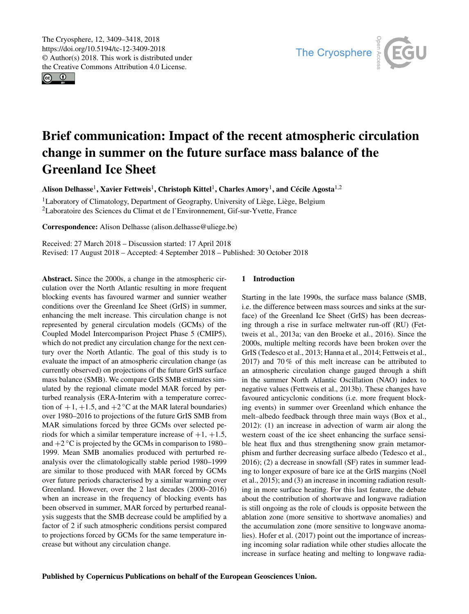<span id="page-0-1"></span> $\circledcirc$ 



# Brief communication: Impact of the recent atmospheric circulation change in summer on the future surface mass balance of the Greenland Ice Sheet

Alison Delhasse<sup>[1](#page-0-0)</sup>, Xavier Fettweis<sup>1</sup>, Christoph Kittel<sup>1</sup>, Charles Amory<sup>1</sup>, and Cécile Agosta<sup>[1,2](#page-0-0)</sup>

<sup>1</sup>Laboratory of Climatology, Department of Geography, University of Liège, Liège, Belgium <sup>2</sup>Laboratoire des Sciences du Climat et de l'Environnement, Gif-sur-Yvette, France

Correspondence: Alison Delhasse (alison.delhasse@uliege.be)

Received: 27 March 2018 – Discussion started: 17 April 2018 Revised: 17 August 2018 – Accepted: 4 September 2018 – Published: 30 October 2018

<span id="page-0-0"></span>Abstract. Since the 2000s, a change in the atmospheric circulation over the North Atlantic resulting in more frequent blocking events has favoured warmer and sunnier weather conditions over the Greenland Ice Sheet (GrIS) in summer, enhancing the melt increase. This circulation change is not represented by general circulation models (GCMs) of the Coupled Model Intercomparison Project Phase 5 (CMIP5), which do not predict any circulation change for the next century over the North Atlantic. The goal of this study is to evaluate the impact of an atmospheric circulation change (as currently observed) on projections of the future GrIS surface mass balance (SMB). We compare GrIS SMB estimates simulated by the regional climate model MAR forced by perturbed reanalysis (ERA-Interim with a temperature correction of  $+1$ ,  $+1.5$ , and  $+2$  °C at the MAR lateral boundaries) over 1980–2016 to projections of the future GrIS SMB from MAR simulations forced by three GCMs over selected periods for which a similar temperature increase of  $+1$ ,  $+1.5$ , and  $+2$  °C is projected by the GCMs in comparison to 1980– 1999. Mean SMB anomalies produced with perturbed reanalysis over the climatologically stable period 1980–1999 are similar to those produced with MAR forced by GCMs over future periods characterised by a similar warming over Greenland. However, over the 2 last decades (2000–2016) when an increase in the frequency of blocking events has been observed in summer, MAR forced by perturbed reanalysis suggests that the SMB decrease could be amplified by a factor of 2 if such atmospheric conditions persist compared to projections forced by GCMs for the same temperature increase but without any circulation change.

## 1 Introduction

Starting in the late 1990s, the surface mass balance (SMB, i.e. the difference between mass sources and sinks at the surface) of the Greenland Ice Sheet (GrIS) has been decreasing through a rise in surface meltwater run-off (RU) [\(Fet](#page-8-0)[tweis et al.,](#page-8-0) [2013a;](#page-8-0) [van den Broeke et al.,](#page-9-0) [2016\)](#page-9-0). Since the 2000s, multiple melting records have been broken over the GrIS [\(Tedesco et al.,](#page-9-1) [2013;](#page-9-1) [Hanna et al.,](#page-8-1) [2014;](#page-8-1) [Fettweis et al.,](#page-8-2) [2017\)](#page-8-2) and 70 % of this melt increase can be attributed to an atmospheric circulation change gauged through a shift in the summer North Atlantic Oscillation (NAO) index to negative values [\(Fettweis et al.,](#page-8-3) [2013b\)](#page-8-3). These changes have favoured anticyclonic conditions (i.e. more frequent blocking events) in summer over Greenland which enhance the melt–albedo feedback through three main ways [\(Box et al.,](#page-8-4) [2012\)](#page-8-4): (1) an increase in advection of warm air along the western coast of the ice sheet enhancing the surface sensible heat flux and thus strengthening snow grain metamorphism and further decreasing surface albedo [\(Tedesco et al.,](#page-9-2) [2016\)](#page-9-2); (2) a decrease in snowfall (SF) rates in summer leading to longer exposure of bare ice at the GrIS margins [\(Noël](#page-9-3) [et al.,](#page-9-3) [2015\)](#page-9-3); and (3) an increase in incoming radiation resulting in more surface heating. For this last feature, the debate about the contribution of shortwave and longwave radiation is still ongoing as the role of clouds is opposite between the ablation zone (more sensitive to shortwave anomalies) and the accumulation zone (more sensitive to longwave anomalies). [Hofer et al.](#page-8-5) [\(2017\)](#page-8-5) point out the importance of increasing incoming solar radiation while other studies allocate the increase in surface heating and melting to longwave radia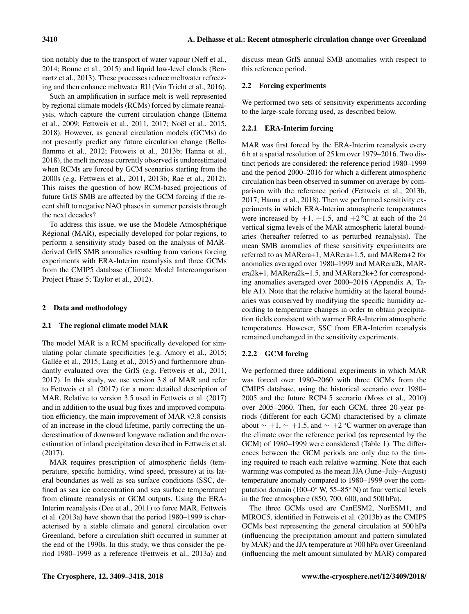tion notably due to the transport of water vapour [\(Neff et al.,](#page-9-4) [2014;](#page-9-4) [Bonne et al.,](#page-8-6) [2015\)](#page-8-6) and liquid low-level clouds [\(Ben](#page-8-7)[nartz et al.,](#page-8-7) [2013\)](#page-8-7). These processes reduce meltwater refreezing and then enhance meltwater RU [\(Van Tricht et al.,](#page-9-5) [2016\)](#page-9-5).

Such an amplification in surface melt is well represented by regional climate models (RCMs) forced by climate reanalysis, which capture the current circulation change [\(Ettema](#page-8-8) [et al.,](#page-8-8) [2009;](#page-8-8) [Fettweis et al.,](#page-8-9) [2011,](#page-8-9) [2017;](#page-8-2) [Noël et al.,](#page-9-3) [2015,](#page-9-3) [2018\)](#page-9-6). However, as general circulation models (GCMs) do not presently predict any future circulation change [\(Belle](#page-8-10)[flamme et al.,](#page-8-10) [2012;](#page-8-10) [Fettweis et al.,](#page-8-3) [2013b;](#page-8-3) [Hanna et al.,](#page-8-11) [2018\)](#page-8-11), the melt increase currently observed is underestimated when RCMs are forced by GCM scenarios starting from the 2000s (e.g. [Fettweis et al.,](#page-8-9) [2011,](#page-8-9) [2013b;](#page-8-3) [Rae et al.,](#page-9-7) [2012\)](#page-9-7). This raises the question of how RCM-based projections of future GrIS SMB are affected by the GCM forcing if the recent shift to negative NAO phases in summer persists through the next decades?

To address this issue, we use the Modèle Atmosphérique Régional (MAR), especially developed for polar regions, to perform a sensitivity study based on the analysis of MARderived GrIS SMB anomalies resulting from various forcing experiments with ERA-Interim reanalysis and three GCMs from the CMIP5 database (Climate Model Intercomparison Project Phase 5; [Taylor et al.,](#page-9-8) [2012\)](#page-9-8).

# 2 Data and methodology

## 2.1 The regional climate model MAR

The model MAR is a RCM specifically developed for simulating polar climate specificities (e.g. [Amory et al.,](#page-8-12) [2015;](#page-8-12) [Gallée et al.,](#page-8-13) [2015;](#page-8-13) [Lang et al.,](#page-9-9) [2015\)](#page-9-9) and furthermore abundantly evaluated over the GrIS (e.g. [Fettweis et al.,](#page-8-9) [2011,](#page-8-9) [2017\)](#page-8-2). In this study, we use version 3.8 of MAR and refer to [Fettweis et al.](#page-8-2) [\(2017\)](#page-8-2) for a more detailed description of MAR. Relative to version 3.5 used in [Fettweis et al.](#page-8-2) [\(2017\)](#page-8-2) and in addition to the usual bug fixes and improved computation efficiency, the main improvement of MAR v3.8 consists of an increase in the cloud lifetime, partly correcting the underestimation of downward longwave radiation and the overestimation of inland precipitation described in [Fettweis et al.](#page-8-2) [\(2017\)](#page-8-2).

MAR requires prescription of atmospheric fields (temperature, specific humidity, wind speed, pressure) at its lateral boundaries as well as sea surface conditions (SSC, defined as sea ice concentration and sea surface temperature) from climate reanalysis or GCM outputs. Using the ERA-Interim reanalysis [\(Dee et al.,](#page-8-14) [2011\)](#page-8-14) to force MAR, [Fettweis](#page-8-0) [et al.](#page-8-0) [\(2013a\)](#page-8-0) have shown that the period 1980–1999 is characterised by a stable climate and general circulation over Greenland, before a circulation shift occurred in summer at the end of the 1990s. In this study, we thus consider the period 1980–1999 as a reference [\(Fettweis et al.,](#page-8-0) [2013a\)](#page-8-0) and discuss mean GrIS annual SMB anomalies with respect to this reference period.

## 2.2 Forcing experiments

We performed two sets of sensitivity experiments according to the large-scale forcing used, as described below.

# 2.2.1 ERA-Interim forcing

MAR was first forced by the ERA-Interim reanalysis every 6 h at a spatial resolution of 25 km over 1979–2016. Two distinct periods are considered: the reference period 1980–1999 and the period 2000–2016 for which a different atmospheric circulation has been observed in summer on average by comparison with the reference period [\(Fettweis et al.,](#page-8-3) [2013b,](#page-8-3) [2017;](#page-8-2) [Hanna et al.,](#page-8-11) [2018\)](#page-8-11). Then we performed sensitivity experiments in which ERA-Interim atmospheric temperatures were increased by  $+1$ ,  $+1.5$ , and  $+2$ °C at each of the 24 vertical sigma levels of the MAR atmospheric lateral boundaries (hereafter referred to as perturbed reanalysis). The mean SMB anomalies of these sensitivity experiments are referred to as MARera+1, MARera+1.5, and MARera+2 for anomalies averaged over 1980–1999 and MARera2k, MARera2k+1, MARera2k+1.5, and MARera2k+2 for corresponding anomalies averaged over 2000–2016 (Appendix [A,](#page-7-0) Table [A1\)](#page-7-1). Note that the relative humidity at the lateral boundaries was conserved by modifying the specific humidity according to temperature changes in order to obtain precipitation fields consistent with warmer ERA-Interim atmospheric temperatures. However, SSC from ERA-Interim reanalysis remained unchanged in the sensitivity experiments.

## 2.2.2 GCM forcing

We performed three additional experiments in which MAR was forced over 1980–2060 with three GCMs from the CMIP5 database, using the historical scenario over 1980– 2005 and the future RCP4.5 scenario [\(Moss et al.,](#page-9-10) [2010\)](#page-9-10) over 2005–2060. Then, for each GCM, three 20-year periods (different for each GCM) characterised by a climate about  $\sim +1$ ,  $\sim +1.5$ , and  $\sim +2$  °C warmer on average than the climate over the reference period (as represented by the GCM) of 1980–1999 were considered (Table [1\)](#page-2-0). The differences between the GCM periods are only due to the timing required to reach each relative warming. Note that each warming was computed as the mean JJA (June–July–August) temperature anomaly compared to 1980–1999 over the computation domain (100–0◦ W, 55–85◦ N) at four vertical levels in the free atmosphere (850, 700, 600, and 500 hPa).

The three GCMs used are CanESM2, NorESM1, and MIROC5, identified in Fettweis et al. (2013b) as the CMIP5 GCMs best representing the general circulation at 500 hPa (influencing the precipitation amount and pattern simulated by MAR) and the JJA temperature at 700 hPa over Greenland (influencing the melt amount simulated by MAR) compared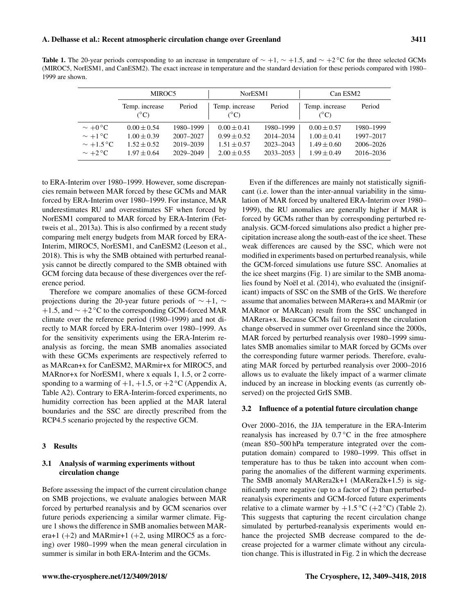<span id="page-2-0"></span>Table 1. The 20-year periods corresponding to an increase in temperature of  $\sim +1$ ,  $\sim +1.5$ , and  $\sim +2$ °C for the three selected GCMs (MIROC5, NorESM1, and CanESM2). The exact increase in temperature and the standard deviation for these periods compared with 1980– 1999 are shown.

|                | MIROC5                          |           | NorESM1                         |           | Can ESM2                        |           |
|----------------|---------------------------------|-----------|---------------------------------|-----------|---------------------------------|-----------|
|                | Temp. increase<br>$(^{\circ}C)$ | Period    | Temp. increase<br>$(^{\circ}C)$ | Period    | Temp. increase<br>$(^{\circ}C)$ | Period    |
| $\sim +0$ °C   | $0.00 \pm 0.54$                 | 1980-1999 | $0.00 \pm 0.41$                 | 1980-1999 | $0.00 \pm 0.57$                 | 1980-1999 |
| $\sim +1$ °C   | $1.00 \pm 0.39$                 | 2007-2027 | $0.99 \pm 0.52$                 | 2014-2034 | $1.00 \pm 0.41$                 | 1997-2017 |
| $\sim +1.5$ °C | $1.52 \pm 0.52$                 | 2019-2039 | $1.51 \pm 0.57$                 | 2023-2043 | $1.49 \pm 0.60$                 | 2006-2026 |
| $\sim +2$ °C   | $1.97 \pm 0.64$                 | 2029-2049 | $2.00 \pm 0.55$                 | 2033-2053 | $1.99 \pm 0.49$                 | 2016-2036 |

to ERA-Interim over 1980–1999. However, some discrepancies remain between MAR forced by these GCMs and MAR forced by ERA-Interim over 1980–1999. For instance, MAR underestimates RU and overestimates SF when forced by NorESM1 compared to MAR forced by ERA-Interim [\(Fet](#page-8-0)[tweis et al.,](#page-8-0) [2013a\)](#page-8-0). This is also confirmed by a recent study comparing melt energy budgets from MAR forced by ERA-Interim, MIROC5, NorESM1, and CanESM2 [\(Leeson et al.,](#page-9-11) [2018\)](#page-9-11). This is why the SMB obtained with perturbed reanalysis cannot be directly compared to the SMB obtained with GCM forcing data because of these divergences over the reference period.

Therefore we compare anomalies of these GCM-forced projections during the 20-year future periods of ∼ +1, ∼ +1.5, and ∼ +2 ◦C to the corresponding GCM-forced MAR climate over the reference period (1980–1999) and not directly to MAR forced by ERA-Interim over 1980–1999. As for the sensitivity experiments using the ERA-Interim reanalysis as forcing, the mean SMB anomalies associated with these GCMs experiments are respectively referred to as MARcan+x for CanESM2, MARmir+x for MIROC5, and MARnor+x for NorESM1, where x equals 1, 1.5, or 2 corresponding to a warming of  $+1$ ,  $+1.5$ , or  $+2$  °C (Appendix [A,](#page-7-0) Table [A2\)](#page-7-2). Contrary to ERA-Interim-forced experiments, no humidity correction has been applied at the MAR lateral boundaries and the SSC are directly prescribed from the RCP4.5 scenario projected by the respective GCM.

## 3 Results

## 3.1 Analysis of warming experiments without circulation change

Before assessing the impact of the current circulation change on SMB projections, we evaluate analogies between MAR forced by perturbed reanalysis and by GCM scenarios over future periods experiencing a similar warmer climate. Figure [1](#page-3-0) shows the difference in SMB anomalies between MARera+1  $(+2)$  and MARmir+1  $(+2)$ , using MIROC5 as a forcing) over 1980–1999 when the mean general circulation in summer is similar in both ERA-Interim and the GCMs.

Even if the differences are mainly not statistically significant (i.e. lower than the inter-annual variability in the simulation of MAR forced by unaltered ERA-Interim over 1980– 1999), the RU anomalies are generally higher if MAR is forced by GCMs rather than by corresponding perturbed reanalysis. GCM-forced simulations also predict a higher precipitation increase along the south-east of the ice sheet. These weak differences are caused by the SSC, which were not modified in experiments based on perturbed reanalysis, while the GCM-forced simulations use future SSC. Anomalies at the ice sheet margins (Fig. 1) are similar to the SMB anomalies found by [Noël et al.](#page-9-12) [\(2014\)](#page-9-12), who evaluated the (insignificant) impacts of SSC on the SMB of the GrIS. We therefore assume that anomalies between MARera+x and MARmir (or MARnor or MARcan) result from the SSC unchanged in MARera+x. Because GCMs fail to represent the circulation change observed in summer over Greenland since the 2000s, MAR forced by perturbed reanalysis over 1980–1999 simulates SMB anomalies similar to MAR forced by GCMs over the corresponding future warmer periods. Therefore, evaluating MAR forced by perturbed reanalysis over 2000–2016 allows us to evaluate the likely impact of a warmer climate induced by an increase in blocking events (as currently observed) on the projected GrIS SMB.

#### 3.2 Influence of a potential future circulation change

Over 2000–2016, the JJA temperature in the ERA-Interim reanalysis has increased by  $0.7\degree$ C in the free atmosphere (mean 850–500 hPa temperature integrated over the computation domain) compared to 1980–1999. This offset in temperature has to thus be taken into account when comparing the anomalies of the different warming experiments. The SMB anomaly MARera2k+1 (MARera2k+1.5) is significantly more negative (up to a factor of 2) than perturbedreanalysis experiments and GCM-forced future experiments relative to a climate warmer by  $+1.5\,^{\circ}\text{C}$  ( $+2\,^{\circ}\text{C}$ ) (Table [2\)](#page-4-0). This suggests that capturing the recent circulation change simulated by perturbed-reanalysis experiments would enhance the projected SMB decrease compared to the decrease projected for a warmer climate without any circulation change. This is illustrated in Fig. 2 in which the decrease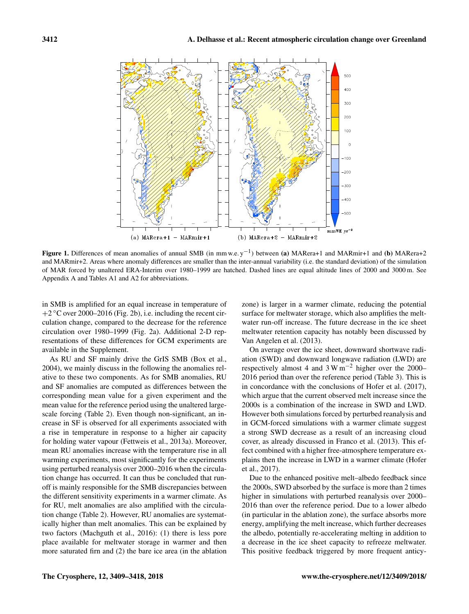<span id="page-3-0"></span>

Figure 1. Differences of mean anomalies of annual SMB (in mm w.e.  $y^{-1}$ ) between (a) MARera+1 and MARmir+1 and (b) MARera+2 and MARmir+2. Areas where anomaly differences are smaller than the inter-annual variability (i.e. the standard deviation) of the simulation of MAR forced by unaltered ERA-Interim over 1980–1999 are hatched. Dashed lines are equal altitude lines of 2000 and 3000 m. See Appendix [A](#page-7-0) and Tables [A1](#page-7-1) and [A2](#page-7-2) for abbreviations.

in SMB is amplified for an equal increase in temperature of +2 ◦C over 2000–2016 (Fig. [2b](#page-4-1)), i.e. including the recent circulation change, compared to the decrease for the reference circulation over 1980–1999 (Fig. [2a](#page-4-1)). Additional 2-D representations of these differences for GCM experiments are available in the Supplement.

As RU and SF mainly drive the GrIS SMB [\(Box et al.,](#page-8-15) [2004\)](#page-8-15), we mainly discuss in the following the anomalies relative to these two components. As for SMB anomalies, RU and SF anomalies are computed as differences between the corresponding mean value for a given experiment and the mean value for the reference period using the unaltered largescale forcing (Table [2\)](#page-4-0). Even though non-significant, an increase in SF is observed for all experiments associated with a rise in temperature in response to a higher air capacity for holding water vapour [\(Fettweis et al.,](#page-8-0) [2013a\)](#page-8-0). Moreover, mean RU anomalies increase with the temperature rise in all warming experiments, most significantly for the experiments using perturbed reanalysis over 2000–2016 when the circulation change has occurred. It can thus be concluded that runoff is mainly responsible for the SMB discrepancies between the different sensitivity experiments in a warmer climate. As for RU, melt anomalies are also amplified with the circulation change (Table [2\)](#page-4-0). However, RU anomalies are systematically higher than melt anomalies. This can be explained by two factors [\(Machguth et al.,](#page-9-13) [2016\)](#page-9-13): (1) there is less pore place available for meltwater storage in warmer and then more saturated firn and (2) the bare ice area (in the ablation

zone) is larger in a warmer climate, reducing the potential surface for meltwater storage, which also amplifies the meltwater run-off increase. The future decrease in the ice sheet meltwater retention capacity has notably been discussed by [Van Angelen et al.](#page-9-14) [\(2013\)](#page-9-14).

On average over the ice sheet, downward shortwave radiation (SWD) and downward longwave radiation (LWD) are respectively almost 4 and  $3 \text{ W m}^{-2}$  higher over the 2000– 2016 period than over the reference period (Table [3\)](#page-5-0). This is in concordance with the conclusions of [Hofer et al.](#page-8-5) [\(2017\)](#page-8-5), which argue that the current observed melt increase since the 2000s is a combination of the increase in SWD and LWD. However both simulations forced by perturbed reanalysis and in GCM-forced simulations with a warmer climate suggest a strong SWD decrease as a result of an increasing cloud cover, as already discussed in [Franco et al.](#page-8-16) [\(2013\)](#page-8-16). This effect combined with a higher free-atmosphere temperature explains then the increase in LWD in a warmer climate [\(Hofer](#page-8-5) [et al.,](#page-8-5) [2017\)](#page-8-5).

Due to the enhanced positive melt–albedo feedback since the 2000s, SWD absorbed by the surface is more than 2 times higher in simulations with perturbed reanalysis over 2000– 2016 than over the reference period. Due to a lower albedo (in particular in the ablation zone), the surface absorbs more energy, amplifying the melt increase, which further decreases the albedo, potentially re-accelerating melting in addition to a decrease in the ice sheet capacity to refreeze meltwater. This positive feedback triggered by more frequent anticy-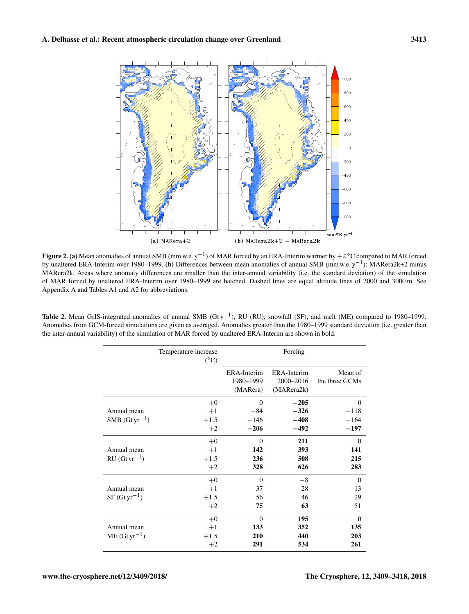<span id="page-4-1"></span>

Figure 2. (a) Mean anomalies of annual SMB (mm w.e. y<sup>-1</sup>) of MAR forced by an ERA-Interim warmer by +2 °C compared to MAR forced by unaltered ERA-Interim over 1980–1999. (b) Differences between mean anomalies of annual SMB (mm w.e. y−<sup>1</sup> ): MARera2k+2 minus MARera2k. Areas where anomaly differences are smaller than the inter-annual variability (i.e. the standard deviation) of the simulation of MAR forced by unaltered ERA-Interim over 1980–1999 are hatched. Dashed lines are equal altitude lines of 2000 and 3000 m. See Appendix [A](#page-7-0) and Tables [A1](#page-7-1) and [A2](#page-7-2) for abbreviations.

<span id="page-4-0"></span>

| <b>Table 2.</b> Mean GrIS-integrated anomalies of annual SMB (Gty <sup>-1</sup> ), RU (RU), snowfall (SF), and melt (ME) compared to 1980–1999. |
|-------------------------------------------------------------------------------------------------------------------------------------------------|
| Anomalies from GCM-forced simulations are given as averaged. Anomalies greater than the 1980–1999 standard deviation (i.e. greater than         |
| the inter-annual variability) of the simulation of MAR forced by unaltered ERA-Interim are shown in bold.                                       |

|                                  | Temperature increase<br>$(^{\circ}C)$ |             | Forcing     |                |
|----------------------------------|---------------------------------------|-------------|-------------|----------------|
|                                  |                                       | ERA-Interim | ERA-Interim | Mean of        |
|                                  |                                       | 1980-1999   | 2000-2016   | the three GCMs |
|                                  |                                       | (MARera)    | (MARera2k)  |                |
|                                  | $+0$                                  | $\Omega$    | $-205$      | $\Omega$       |
| Annual mean                      | $+1$                                  | $-84$       | $-326$      | $-118$         |
| $SMB$ (Gt yr <sup>-1</sup> )     | $+1.5$                                | $-146$      | $-408$      | $-164$         |
|                                  | $+2$                                  | $-206$      | $-492$      | $-197$         |
|                                  | $+0$                                  | $\Omega$    | 211         | $\Omega$       |
| Annual mean                      | $+1$                                  | 142         | 393         | 141            |
| $RU(Gtyr^{-1})$                  | $+1.5$                                | 236         | 508         | 215            |
|                                  | $+2$                                  | 328         | 626         | 283            |
|                                  | $+0$                                  | $\Omega$    | $-8$        | $\overline{0}$ |
| Annual mean                      | $+1$                                  | 37          | 28          | 13             |
| $SF(Gtyr^{-1})$                  | $+1.5$                                | 56          | 46          | 29             |
|                                  | $+2$                                  | 75          | 63          | 51             |
|                                  | $+0$                                  | $\Omega$    | 195         | $\Omega$       |
| Annual mean<br>$ME (Gt yr^{-1})$ | $+1$                                  | 133         | 352         | 135            |
|                                  | $+1.5$                                | 210         | 440         | 203            |
|                                  | $+2$                                  | 291         | 534         | 261            |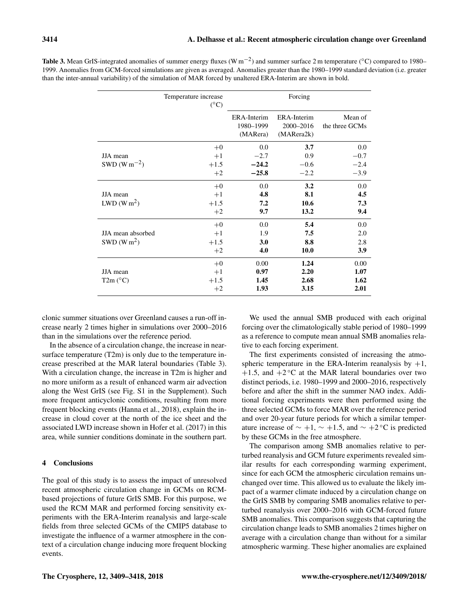|                                            | Temperature increase<br>$(^{\circ}C)$ |                                             | Forcing                                |                              |
|--------------------------------------------|---------------------------------------|---------------------------------------------|----------------------------------------|------------------------------|
|                                            |                                       | <b>ERA-Interim</b><br>1980-1999<br>(MARera) | ERA-Interim<br>2000-2016<br>(MARera2k) | Mean of<br>the three GCMs    |
| JJA mean                                   | $+0$                                  | 0.0<br>$-2.7$                               | 3.7<br>0.9                             | 0.0<br>$-0.7$                |
| SWD (W m <sup><math>-2</math></sup> )      | $+1$<br>$+1.5$<br>$+2$                | $-24.2$<br>$-25.8$                          | $-0.6$<br>$-2.2$                       | $-2.4$<br>$-3.9$             |
| JJA mean<br>LWD (W m <sup>2</sup> )        | $+0$<br>$+1$<br>$+1.5$<br>$+2$        | 0.0<br>4.8<br>7.2<br>9.7                    | 3.2<br>8.1<br>10.6<br>13.2             | 0.0<br>4.5<br>7.3<br>9.4     |
| JJA mean absorbed<br>SWD(Wm <sup>2</sup> ) | $+0$<br>$+1$<br>$+1.5$<br>$+2$        | 0.0<br>1.9<br>3.0<br>4.0                    | 5.4<br>7.5<br>8.8<br>10.0              | 0.0<br>2.0<br>2.8<br>3.9     |
| JJA mean<br>T2m (°C)                       | $+0$<br>$+1$<br>$+1.5$<br>$+2$        | 0.00<br>0.97<br>1.45<br>1.93                | 1.24<br>2.20<br>2.68<br>3.15           | 0.00<br>1.07<br>1.62<br>2.01 |

<span id="page-5-0"></span>Table 3. Mean GrIS-integrated anomalies of summer energy fluxes (W m<sup>-2</sup>) and summer surface 2 m temperature (°C) compared to 1980– 1999. Anomalies from GCM-forced simulations are given as averaged. Anomalies greater than the 1980–1999 standard deviation (i.e. greater than the inter-annual variability) of the simulation of MAR forced by unaltered ERA-Interim are shown in bold.

clonic summer situations over Greenland causes a run-off increase nearly 2 times higher in simulations over 2000–2016 than in the simulations over the reference period.

In the absence of a circulation change, the increase in nearsurface temperature (T2m) is only due to the temperature increase prescribed at the MAR lateral boundaries (Table [3\)](#page-5-0). With a circulation change, the increase in T2m is higher and no more uniform as a result of enhanced warm air advection along the West GrIS (see Fig. S1 in the Supplement). Such more frequent anticyclonic conditions, resulting from more frequent blocking events [\(Hanna et al.,](#page-8-11) [2018\)](#page-8-11), explain the increase in cloud cover at the north of the ice sheet and the associated LWD increase shown in [Hofer et al.](#page-8-5) [\(2017\)](#page-8-5) in this area, while sunnier conditions dominate in the southern part.

## 4 Conclusions

The goal of this study is to assess the impact of unresolved recent atmospheric circulation change in GCMs on RCMbased projections of future GrIS SMB. For this purpose, we used the RCM MAR and performed forcing sensitivity experiments with the ERA-Interim reanalysis and large-scale fields from three selected GCMs of the CMIP5 database to investigate the influence of a warmer atmosphere in the context of a circulation change inducing more frequent blocking events.

We used the annual SMB produced with each original forcing over the climatologically stable period of 1980–1999 as a reference to compute mean annual SMB anomalies relative to each forcing experiment.

The first experiments consisted of increasing the atmospheric temperature in the ERA-Interim reanalysis by  $+1$ ,  $+1.5$ , and  $+2$  °C at the MAR lateral boundaries over two distinct periods, i.e. 1980–1999 and 2000–2016, respectively before and after the shift in the summer NAO index. Additional forcing experiments were then performed using the three selected GCMs to force MAR over the reference period and over 20-year future periods for which a similar temperature increase of  $\sim +1$ ,  $\sim +1.5$ , and  $\sim +2$  °C is predicted by these GCMs in the free atmosphere.

The comparison among SMB anomalies relative to perturbed reanalysis and GCM future experiments revealed similar results for each corresponding warming experiment, since for each GCM the atmospheric circulation remains unchanged over time. This allowed us to evaluate the likely impact of a warmer climate induced by a circulation change on the GrIS SMB by comparing SMB anomalies relative to perturbed reanalysis over 2000–2016 with GCM-forced future SMB anomalies. This comparison suggests that capturing the circulation change leads to SMB anomalies 2 times higher on average with a circulation change than without for a similar atmospheric warming. These higher anomalies are explained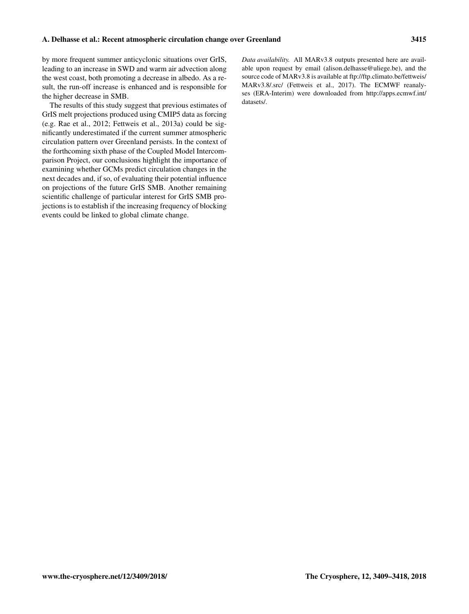by more frequent summer anticyclonic situations over GrIS, leading to an increase in SWD and warm air advection along the west coast, both promoting a decrease in albedo. As a result, the run-off increase is enhanced and is responsible for the higher decrease in SMB.

The results of this study suggest that previous estimates of GrIS melt projections produced using CMIP5 data as forcing (e.g. [Rae et al.,](#page-9-7) [2012;](#page-9-7) [Fettweis et al.,](#page-8-0) [2013a\)](#page-8-0) could be significantly underestimated if the current summer atmospheric circulation pattern over Greenland persists. In the context of the forthcoming sixth phase of the Coupled Model Intercomparison Project, our conclusions highlight the importance of examining whether GCMs predict circulation changes in the next decades and, if so, of evaluating their potential influence on projections of the future GrIS SMB. Another remaining scientific challenge of particular interest for GrIS SMB projections is to establish if the increasing frequency of blocking events could be linked to global climate change.

*Data availability.* All MARv3.8 outputs presented here are available upon request by email (alison.delhasse@uliege.be), and the source code of MARv3.8 is available at [ftp://ftp.climato.be/fettweis/](ftp://ftp.climato.be/fettweis/MARv3.8/.src/) [MARv3.8/.src/](ftp://ftp.climato.be/fettweis/MARv3.8/.src/) [\(Fettweis et al.,](#page-8-2) [2017\)](#page-8-2). The ECMWF reanalyses (ERA-Interim) were downloaded from [http://apps.ecmwf.int/](http://apps.ecmwf.int/datasets/) [datasets/.](http://apps.ecmwf.int/datasets/)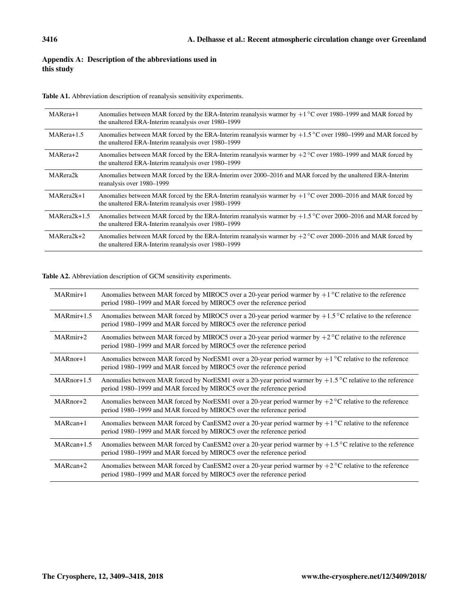# <span id="page-7-0"></span>Appendix A: Description of the abbreviations used in this study

<span id="page-7-1"></span>Table A1. Abbreviation description of reanalysis sensitivity experiments.

| MARera+1       | Anomalies between MAR forced by the ERA-Interim reanalysis warmer by $+1^{\circ}$ C over 1980–1999 and MAR forced by<br>the unaltered ERA-Interim reanalysis over 1980–1999  |
|----------------|------------------------------------------------------------------------------------------------------------------------------------------------------------------------------|
| MARera+1.5     | Anomalies between MAR forced by the ERA-Interim reanalysis warmer by $+1.5\degree$ C over 1980–1999 and MAR forced by<br>the unaltered ERA-Interim reanalysis over 1980–1999 |
| MARera+2       | Anomalies between MAR forced by the ERA-Interim reanalysis warmer by $+2^{\circ}$ C over 1980–1999 and MAR forced by<br>the unaltered ERA-Interim reanalysis over 1980–1999  |
| MARera2k       | Anomalies between MAR forced by the ERA-Interim over 2000–2016 and MAR forced by the unaltered ERA-Interim<br>reanalysis over 1980–1999                                      |
| MARera2k+1     | Anomalies between MAR forced by the ERA-Interim reanalysis warmer by $+1\degree$ C over 2000–2016 and MAR forced by<br>the unaltered ERA-Interim reanalysis over 1980–1999   |
| $MARera2k+1.5$ | Anomalies between MAR forced by the ERA-Interim reanalysis warmer by $+1.5\degree$ C over 2000–2016 and MAR forced by<br>the unaltered ERA-Interim reanalysis over 1980–1999 |
| $MARera2k+2$   | Anomalies between MAR forced by the ERA-Interim reanalysis warmer by $+2^{\circ}$ C over 2000–2016 and MAR forced by<br>the unaltered ERA-Interim reanalysis over 1980–1999  |

<span id="page-7-2"></span>Table A2. Abbreviation description of GCM sensitivity experiments.

| MARmir+1     | Anomalies between MAR forced by MIROC5 over a 20-year period warmer by $+1^{\circ}$ C relative to the reference<br>period 1980–1999 and MAR forced by MIROC5 over the reference period    |
|--------------|-------------------------------------------------------------------------------------------------------------------------------------------------------------------------------------------|
| $MARmir+1.5$ | Anomalies between MAR forced by MIROC5 over a 20-year period warmer by $+1.5^{\circ}$ C relative to the reference<br>period 1980–1999 and MAR forced by MIROC5 over the reference period  |
| MARmir+2     | Anomalies between MAR forced by MIROC5 over a 20-year period warmer by $+2^{\circ}$ C relative to the reference<br>period 1980–1999 and MAR forced by MIROC5 over the reference period    |
| MARnor+1     | Anomalies between MAR forced by NorESM1 over a 20-year period warmer by $+1$ °C relative to the reference<br>period 1980-1999 and MAR forced by MIROC5 over the reference period          |
| $MARnor+1.5$ | Anomalies between MAR forced by NorESM1 over a 20-year period warmer by $+1.5^{\circ}$ C relative to the reference<br>period 1980–1999 and MAR forced by MIROC5 over the reference period |
| $MARnor+2$   | Anomalies between MAR forced by NorESM1 over a 20-year period warmer by $+2^{\circ}C$ relative to the reference<br>period 1980-1999 and MAR forced by MIROC5 over the reference period    |
| MARcan+1     | Anomalies between MAR forced by CanESM2 over a 20-year period warmer by $+1$ °C relative to the reference<br>period 1980–1999 and MAR forced by MIROC5 over the reference period          |
| $MARcan+1.5$ | Anomalies between MAR forced by CanESM2 over a 20-year period warmer by $+1.5^{\circ}$ C relative to the reference<br>period 1980–1999 and MAR forced by MIROC5 over the reference period |
| MARcan+2     | Anomalies between MAR forced by CanESM2 over a 20-year period warmer by $+2^{\circ}$ C relative to the reference<br>period 1980–1999 and MAR forced by MIROC5 over the reference period   |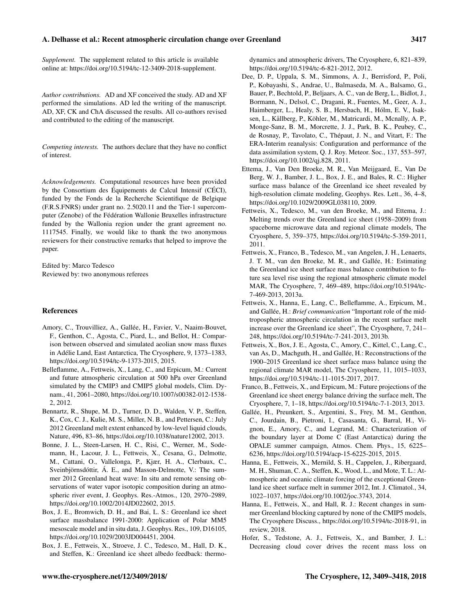### A. Delhasse et al.: Recent atmospheric circulation change over Greenland 3417

*Supplement.* The supplement related to this article is available online at: [https://doi.org/10.5194/tc-12-3409-2018-supplement.](https://doi.org/10.5194/tc-12-3409-2018-supplement)

*Author contributions.* AD and XF conceived the study. AD and XF performed the simulations. AD led the writing of the manuscript. AD, XF, CK and ChA discussed the results. All co-authors revised and contributed to the editing of the manuscript.

*Competing interests.* The authors declare that they have no conflict of interest.

*Acknowledgements.* Computational resources have been provided by the Consortium des Équipements de Calcul Intensif (CÉCI), funded by the Fonds de la Recherche Scientifique de Belgique (F.R.S.FNRS) under grant no. 2.5020.11 and the Tier-1 supercomputer (Zenobe) of the Fédération Wallonie Bruxelles infrastructure funded by the Wallonia region under the grant agreement no. 1117545. Finally, we would like to thank the two anonymous reviewers for their constructive remarks that helped to improve the paper.

Edited by: Marco Tedesco Reviewed by: two anonymous referees

#### References

- <span id="page-8-12"></span>Amory, C., Trouvilliez, A., Gallée, H., Favier, V., Naaim-Bouvet, F., Genthon, C., Agosta, C., Piard, L., and Bellot, H.: Comparison between observed and simulated aeolian snow mass fluxes in Adélie Land, East Antarctica, The Cryosphere, 9, 1373–1383, https://doi.org[/10.5194/tc-9-1373-2015,](https://doi.org/10.5194/tc-9-1373-2015) 2015.
- <span id="page-8-10"></span>Belleflamme, A., Fettweis, X., Lang, C., and Erpicum, M.: Current and future atmospheric circulation at 500 hPa over Greenland simulated by the CMIP3 and CMIP5 global models, Clim. Dynam., 41, 2061–2080, https://doi.org[/10.1007/s00382-012-1538-](https://doi.org/10.1007/s00382-012-1538-2) [2,](https://doi.org/10.1007/s00382-012-1538-2) 2012.
- <span id="page-8-7"></span>Bennartz, R., Shupe, M. D., Turner, D. D., Walden, V. P., Steffen, K., Cox, C. J., Kulie, M. S., Miller, N. B., and Pettersen, C.: July 2012 Greenland melt extent enhanced by low-level liquid clouds, Nature, 496, 83–86, https://doi.org[/10.1038/nature12002,](https://doi.org/10.1038/nature12002) 2013.
- <span id="page-8-6"></span>Bonne, J. L., Steen-Larsen, H. C., Risi, C., Werner, M., Sodemann, H., Lacour, J. L., Fettweis, X., Cesana, G., Delmotte, M., Cattani, O., Vallelonga, P., Kjær, H. A., Clerbaux, C., Sveinbjörnsdóttir, Á. E., and Masson-Delmotte, V.: The summer 2012 Greenland heat wave: In situ and remote sensing observations of water vapor isotopic composition during an atmospheric river event, J. Geophys. Res.-Atmos., 120, 2970–2989, https://doi.org[/10.1002/2014JD022602,](https://doi.org/10.1002/2014JD022602) 2015.
- <span id="page-8-15"></span>Box, J. E., Bromwich, D. H., and Bai, L. S.: Greenland ice sheet surface massbalance 1991-2000: Application of Polar MM5 mesoscale model and in situ data, J. Geophys. Res., 109, D16105, https://doi.org[/10.1029/2003JD004451,](https://doi.org/10.1029/2003JD004451) 2004.
- <span id="page-8-4"></span>Box, J. E., Fettweis, X., Stroeve, J. C., Tedesco, M., Hall, D. K., and Steffen, K.: Greenland ice sheet albedo feedback: thermo-

dynamics and atmospheric drivers, The Cryosphere, 6, 821–839, https://doi.org[/10.5194/tc-6-821-2012,](https://doi.org/10.5194/tc-6-821-2012) 2012.

- <span id="page-8-14"></span>Dee, D. P., Uppala, S. M., Simmons, A. J., Berrisford, P., Poli, P., Kobayashi, S., Andrae, U., Balmaseda, M. A., Balsamo, G., Bauer, P., Bechtold, P., Beljaars, A. C., van de Berg, L., Bidlot, J., Bormann, N., Delsol, C., Dragani, R., Fuentes, M., Geer, A. J., Haimberger, L., Healy, S. B., Hersbach, H., Hólm, E. V., Isaksen, L., Kållberg, P., Köhler, M., Matricardi, M., Mcnally, A. P., Monge-Sanz, B. M., Morcrette, J. J., Park, B. K., Peubey, C., de Rosnay, P., Tavolato, C., Thépaut, J. N., and Vitart, F.: The ERA-Interim reanalysis: Configuration and performance of the data assimilation system, Q. J. Roy. Meteor. Soc., 137, 553–597, https://doi.org[/10.1002/qj.828,](https://doi.org/10.1002/qj.828) 2011.
- <span id="page-8-8"></span>Ettema, J., Van Den Broeke, M. R., Van Meijgaard, E., Van De Berg, W. J., Bamber, J. L., Box, J. E., and Bales, R. C.: Higher surface mass balance of the Greenland ice sheet revealed by high-resolution climate modeling, Geophys. Res. Lett., 36, 4–8, https://doi.org[/10.1029/2009GL038110,](https://doi.org/10.1029/2009GL038110) 2009.
- <span id="page-8-9"></span>Fettweis, X., Tedesco, M., van den Broeke, M., and Ettema, J.: Melting trends over the Greenland ice sheet (1958–2009) from spaceborne microwave data and regional climate models, The Cryosphere, 5, 359–375, https://doi.org[/10.5194/tc-5-359-2011,](https://doi.org/10.5194/tc-5-359-2011) 2011.
- <span id="page-8-0"></span>Fettweis, X., Franco, B., Tedesco, M., van Angelen, J. H., Lenaerts, J. T. M., van den Broeke, M. R., and Gallée, H.: Estimating the Greenland ice sheet surface mass balance contribution to future sea level rise using the regional atmospheric climate model MAR, The Cryosphere, 7, 469–489, https://doi.org[/10.5194/tc-](https://doi.org/10.5194/tc-7-469-2013)[7-469-2013,](https://doi.org/10.5194/tc-7-469-2013) 2013a.
- <span id="page-8-3"></span>Fettweis, X., Hanna, E., Lang, C., Belleflamme, A., Erpicum, M., and Gallée, H.: *Brief communication* "Important role of the midtropospheric atmospheric circulation in the recent surface melt increase over the Greenland ice sheet", The Cryosphere, 7, 241– 248, https://doi.org[/10.5194/tc-7-241-2013,](https://doi.org/10.5194/tc-7-241-2013) 2013b.
- <span id="page-8-2"></span>Fettweis, X., Box, J. E., Agosta, C., Amory, C., Kittel, C., Lang, C., van As, D., Machguth, H., and Gallée, H.: Reconstructions of the 1900–2015 Greenland ice sheet surface mass balance using the regional climate MAR model, The Cryosphere, 11, 1015–1033, https://doi.org[/10.5194/tc-11-1015-2017,](https://doi.org/10.5194/tc-11-1015-2017) 2017.
- <span id="page-8-16"></span>Franco, B., Fettweis, X., and Erpicum, M.: Future projections of the Greenland ice sheet energy balance driving the surface melt, The Cryosphere, 7, 1–18, https://doi.org[/10.5194/tc-7-1-2013,](https://doi.org/10.5194/tc-7-1-2013) 2013.
- <span id="page-8-13"></span>Gallée, H., Preunkert, S., Argentini, S., Frey, M. M., Genthon, C., Jourdain, B., Pietroni, I., Casasanta, G., Barral, H., Vignon, E., Amory, C., and Legrand, M.: Characterization of the boundary layer at Dome C (East Antarctica) during the OPALE summer campaign, Atmos. Chem. Phys., 15, 6225– 6236, https://doi.org[/10.5194/acp-15-6225-2015,](https://doi.org/10.5194/acp-15-6225-2015) 2015.
- <span id="page-8-1"></span>Hanna, E., Fettweis, X., Mernild, S. H., Cappelen, J., Ribergaard, M. H., Shuman, C. A., Steffen, K., Wood, L., and Mote, T. L.: Atmospheric and oceanic climate forcing of the exceptional Greenland ice sheet surface melt in summer 2012, Int. J. Climatol., 34, 1022–1037, https://doi.org[/10.1002/joc.3743,](https://doi.org/10.1002/joc.3743) 2014.
- <span id="page-8-11"></span>Hanna, E., Fettweis, X., and Hall, R. J.: Recent changes in summer Greenland blocking captured by none of the CMIP5 models, The Cryosphere Discuss., https://doi.org[/10.5194/tc-2018-91,](https://doi.org/10.5194/tc-2018-91) in review, 2018.
- <span id="page-8-5"></span>Hofer, S., Tedstone, A. J., Fettweis, X., and Bamber, J. L.: Decreasing cloud cover drives the recent mass loss on